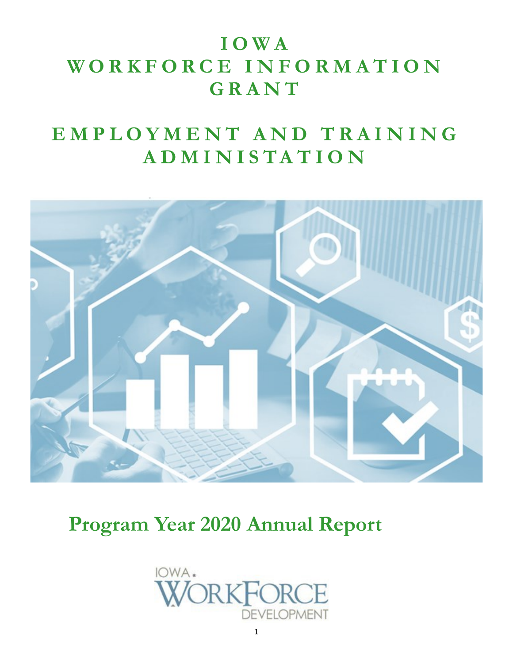# **I O W A W O R K F O R C E I N F O R M A T I O N G R A N T**

# EMPLOYMENT AND TRAINING **A D M I N I S T A T I O N**



**Program Year 2020 Annual Report**

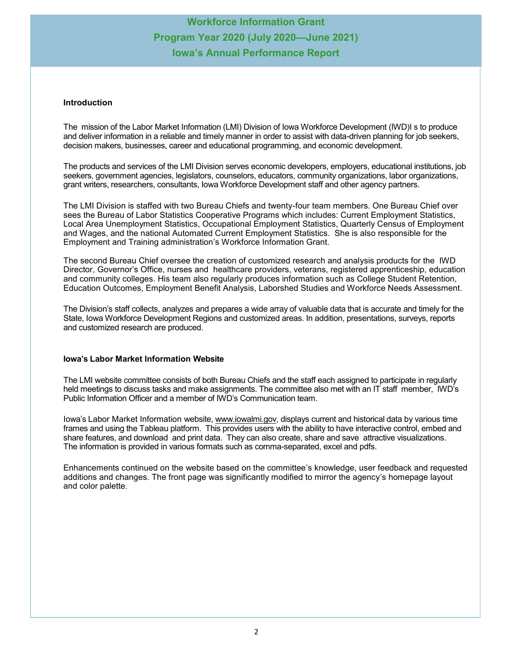#### **Introduction**

The mission of the Labor Market Information (LMI) Division of Iowa Workforce Development (IWD)I s to produce and deliver information in a reliable and timely manner in order to assist with data-driven planning for job seekers, decision makers, businesses, career and educational programming, and economic development.

The products and services of the LMI Division serves economic developers, employers, educational institutions, job seekers, government agencies, legislators, counselors, educators, community organizations, labor organizations, grant writers, researchers, consultants, Iowa Workforce Development staff and other agency partners.

The LMI Division is staffed with two Bureau Chiefs and twenty-four team members. One Bureau Chief over sees the Bureau of Labor Statistics Cooperative Programs which includes: Current Employment Statistics, Local Area Unemployment Statistics, Occupational Employment Statistics, Quarterly Census of Employment and Wages, and the national Automated Current Employment Statistics. She is also responsible for the Employment and Training administration's Workforce Information Grant.

The second Bureau Chief oversee the creation of customized research and analysis products for the IWD Director, Governor's Office, nurses and healthcare providers, veterans, registered apprenticeship, education and community colleges. His team also regularly produces information such as College Student Retention, Education Outcomes, Employment Benefit Analysis, Laborshed Studies and Workforce Needs Assessment.

The Division's staff collects, analyzes and prepares a wide array of valuable data that is accurate and timely for the State, Iowa Workforce Development Regions and customized areas. In addition, presentations, surveys, reports and customized research are produced.

#### **Iowa's Labor Market Information Website**

The LMI website committee consists of both Bureau Chiefs and the staff each assigned to participate in regularly held meetings to discuss tasks and make assignments. The committee also met with an IT staff member, IWD's Public Information Officer and a member of IWD's Communication team.

Iowa's Labor Market Information website, [www.iowalmi.gov,](http://www.iowalmi.gov) displays current and historical data by various time frames and using the Tableau platform. This provides users with the ability to have interactive control, embed and share features, and download and print data. They can also create, share and save attractive visualizations. The information is provided in various formats such as comma-separated, excel and pdfs.

Enhancements continued on the website based on the committee's knowledge, user feedback and requested additions and changes. The front page was significantly modified to mirror the agency's homepage layout and color palette.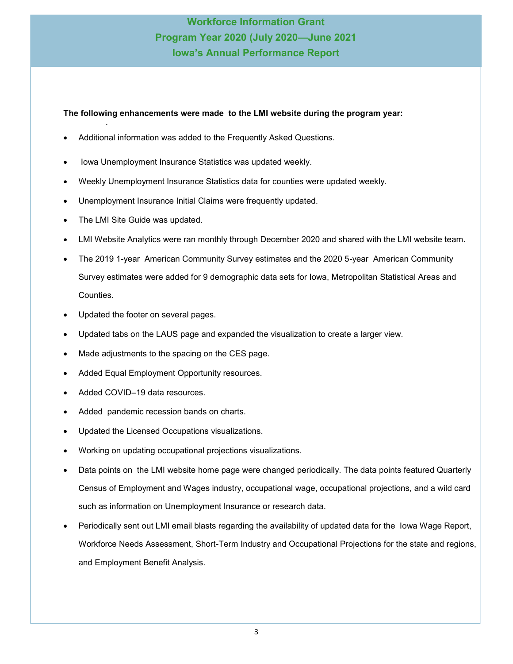#### **The following enhancements were made to the LMI website during the program year:** .

- Additional information was added to the Frequently Asked Questions.
- Iowa Unemployment Insurance Statistics was updated weekly.
- Weekly Unemployment Insurance Statistics data for counties were updated weekly.
- Unemployment Insurance Initial Claims were frequently updated.
- The LMI Site Guide was updated.
- LMI Website Analytics were ran monthly through December 2020 and shared with the LMI website team.
- The 2019 1-year American Community Survey estimates and the 2020 5-year American Community Survey estimates were added for 9 demographic data sets for Iowa, Metropolitan Statistical Areas and Counties.
- Updated the footer on several pages.
- Updated tabs on the LAUS page and expanded the visualization to create a larger view.
- Made adjustments to the spacing on the CES page.
- Added Equal Employment Opportunity resources.
- Added COVID-19 data resources.
- Added pandemic recession bands on charts.
- Updated the Licensed Occupations visualizations.
- Working on updating occupational projections visualizations.
- Data points on the LMI website home page were changed periodically. The data points featured Quarterly Census of Employment and Wages industry, occupational wage, occupational projections, and a wild card such as information on Unemployment Insurance or research data.
- Periodically sent out LMI email blasts regarding the availability of updated data for the Iowa Wage Report, Workforce Needs Assessment, Short-Term Industry and Occupational Projections for the state and regions, and Employment Benefit Analysis.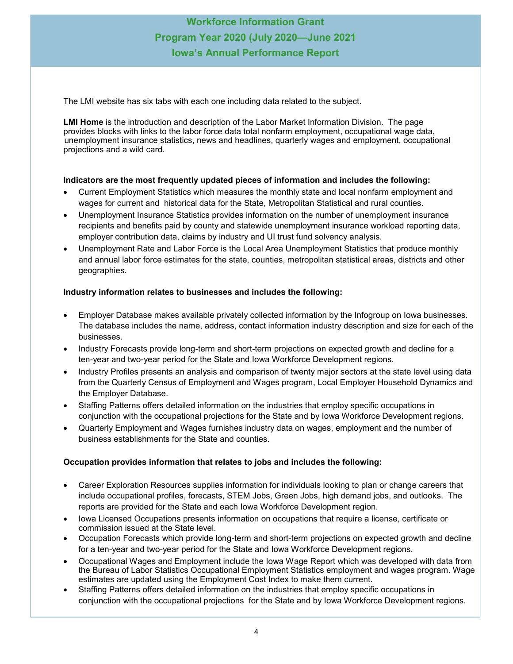The LMI website has six tabs with each one including data related to the subject.

**LMI Home** is the introduction and description of the Labor Market Information Division. The page provides blocks with links to the labor force data total nonfarm employment, occupational wage data, unemployment insurance statistics, news and headlines, quarterly wages and employment, occupational projections and a wild card.

#### **Indicators are the most frequently updated pieces of information and includes the following:**

- Current Employment Statistics which measures the monthly state and local nonfarm employment and wages for current and historical data for the State, Metropolitan Statistical and rural counties.
- Unemployment Insurance Statistics provides information on the number of unemployment insurance recipients and benefits paid by county and statewide unemployment insurance workload reporting data, employer contribution data, claims by industry and UI trust fund solvency analysis.
- Unemployment Rate and Labor Force is the Local Area Unemployment Statistics that produce monthly and annual labor force estimates for **t**he state, counties, metropolitan statistical areas, districts and other geographies.

#### **Industry information relates to businesses and includes the following:**

- Employer Database makes available privately collected information by the Infogroup on Iowa businesses. The database includes the name, address, contact information industry description and size for each of the businesses.
- Industry Forecasts provide long-term and short-term projections on expected growth and decline for a ten-year and two-year period for the State and Iowa Workforce Development regions.
- Industry Profiles presents an analysis and comparison of twenty major sectors at the state level using data from the Quarterly Census of Employment and Wages program, Local Employer Household Dynamics and the Employer Database.
- Staffing Patterns offers detailed information on the industries that employ specific occupations in conjunction with the [occupational projections](https://www.iowaworkforcedevelopment.gov/occupational-projections) for the State and by Iowa Workforce Development regions.
- Quarterly Employment and Wages furnishes industry data on wages, employment and the number of business establishments for the State and counties.

#### **Occupation provides information that relates to jobs and includes the following:**

- Career Exploration Resources supplies information for individuals looking to plan or change careers that include occupational profiles, forecasts, STEM Jobs, Green Jobs, high demand jobs, and outlooks. The reports are provided for the State and each Iowa Workforce Development region.
- Iowa Licensed Occupations presents information on occupations that require a license, certificate or commission issued at the State level.
- Occupation Forecasts which provide long-term and short-term projections on expected growth and decline for a ten-year and two-year period for the State and Iowa Workforce Development regions.
- Occupational Wages and Employment include the Iowa Wage Report which was developed with data from the Bureau of Labor Statistics [Occupational Employment Statistics employment and wages program.](https://www.iowaworkforcedevelopment.gov/oes) Wage estimates are updated using the Employment Cost Index to make them current.
- Staffing Patterns offers detailed information on the industries that employ specific occupations in conjunction with the [occupational projections](https://www.iowaworkforcedevelopment.gov/occupational-projections) for the State and by Iowa Workforce Development regions.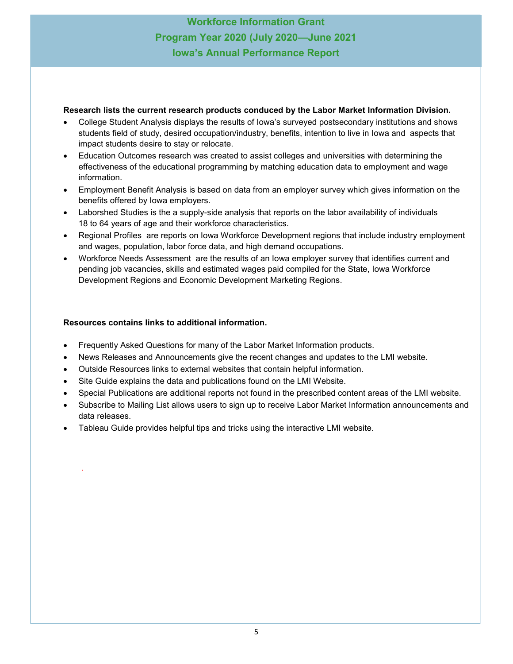#### **Research lists the current research products conduced by the Labor Market Information Division.**

- College Student Analysis displays the results of Iowa's surveyed postsecondary institutions and shows students field of study, desired occupation/industry, benefits, intention to live in Iowa and aspects that impact students desire to stay or relocate.
- Education Outcomes research was created to assist colleges and universities with determining the effectiveness of the educational programming by matching education data to employment and wage information.
- Employment Benefit Analysis is based on data from an employer survey which gives information on the benefits offered by Iowa employers.
- Laborshed Studies is the a supply-side analysis that reports on the labor availability of individuals 18 to 64 years of age and their workforce characteristics.
- Regional Profiles are reports on Iowa Workforce Development regions that include industry employment and wages, population, labor force data, and high demand occupations.
- Workforce Needs Assessment are the results of an Iowa employer survey that identifies current and pending job vacancies, skills and estimated wages paid compiled for the State, Iowa Workforce Development Regions and Economic Development Marketing Regions.

#### **Resources contains links to additional information.**

.

- Frequently Asked Questions for many of the Labor Market Information products.
- News Releases and Announcements give the recent changes and updates to the LMI website.
- Outside Resources links to external websites that contain helpful information.
- Site Guide explains the data and publications found on the LMI Website.
- Special Publications are additional reports not found in the prescribed content areas of the LMI website.
- Subscribe to Mailing List allows users to sign up to receive Labor Market Information announcements and data releases.
- Tableau Guide provides helpful tips and tricks using the interactive LMI website.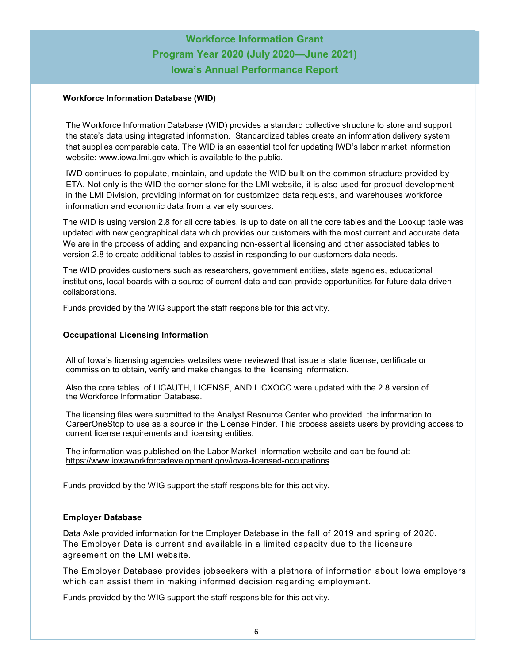#### <span id="page-5-0"></span>**Workforce Information Database (WID)**

The Workforce Information Database (WID) provides a standard collective structure to store and support the state's data using integrated information. Standardized tables create an information delivery system that supplies comparable data. The WID is an essential tool for updating IWD's labor market information website: [www.iowa.lmi.gov](http://www.iowalmi.gov) which is available to the public.

IWD continues to populate, maintain, and update the WID built on the common structure provided by ETA. Not only is the WID the corner stone for the LMI website, it is also used for product development in the LMI Division, providing information for customized data requests, and warehouses workforce information and economic data from a variety sources.

The WID is using version 2.8 for all core tables, is up to date on all the core tables and the Lookup table was updated with new geographical data which provides our customers with the most current and accurate data. We are in the process of adding and expanding non-essential licensing and other associated tables to version 2.8 to create additional tables to assist in responding to our customers data needs.

The WID provides customers such as researchers, government entities, state agencies, educational institutions, local boards with a source of current data and can provide opportunities for future data driven collaborations.

Funds provided by the WIG support the staff responsible for this activity.

#### **Occupational Licensing Information**

All of Iowa's licensing agencies websites were reviewed that issue a state license, certificate or commission to obtain, verify and make changes to the licensing information.

Also the core tables of LICAUTH, LICENSE, AND LICXOCC were updated with the 2.8 version of the Workforce Information Database.

The licensing files were submitted to the Analyst Resource Center who provided the information to CareerOneStop to use as a source in the License Finder. This process assists users by providing access to current license requirements and licensing entities.

The information was published on the Labor Market Information website and can be found at: [https://www.iowaworkforcedevelopment.gov/iowa](#page-5-0)-licensed-occupations

Funds provided by the WIG support the staff responsible for this activity.

#### **Employer Database**

Data Axle provided information for the Employer Database in the fall of 2019 and spring of 2020. The Employer Data is current and available in a limited capacity due to the licensure agreement on the LMI website.

The Employer Database provides jobseekers with a plethora of information about Iowa employers which can assist them in making informed decision regarding employment.

Funds provided by the WIG support the staff responsible for this activity.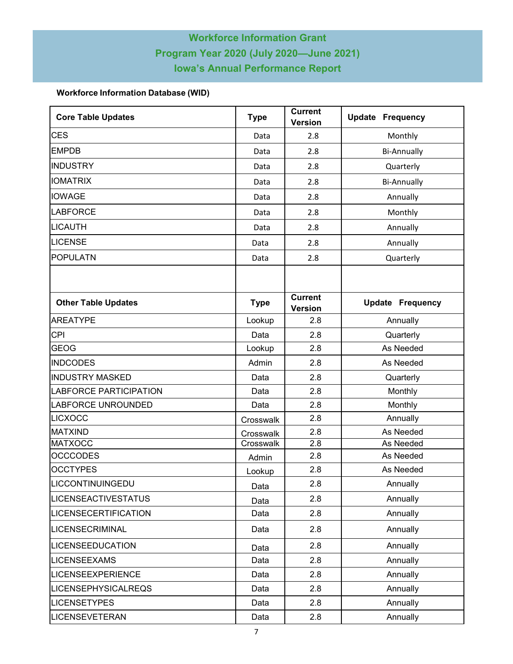### **Workforce Information Database (WID)**

| <b>Core Table Updates</b>     | <b>Type</b> | <b>Current</b><br><b>Version</b> | <b>Update Frequency</b>                                                                                                                 |  |  |  |
|-------------------------------|-------------|----------------------------------|-----------------------------------------------------------------------------------------------------------------------------------------|--|--|--|
| <b>CES</b>                    | Data        | 2.8                              | Monthly                                                                                                                                 |  |  |  |
| <b>EMPDB</b>                  | Data        | 2.8                              | <b>Bi-Annually</b>                                                                                                                      |  |  |  |
| <b>INDUSTRY</b>               | Data        | 2.8                              | Quarterly                                                                                                                               |  |  |  |
| <b>IOMATRIX</b>               | Data        | 2.8                              | <b>Bi-Annually</b>                                                                                                                      |  |  |  |
| <b>IOWAGE</b>                 | Data        | 2.8                              | Annually                                                                                                                                |  |  |  |
| LABFORCE                      | Data        | 2.8                              | Monthly<br>Annually<br>Annually<br>Quarterly<br><b>Update Frequency</b><br>Annually<br>Quarterly<br>As Needed<br>As Needed<br>Quarterly |  |  |  |
| LICAUTH                       | Data        | 2.8                              |                                                                                                                                         |  |  |  |
| <b>LICENSE</b>                | Data        | 2.8                              |                                                                                                                                         |  |  |  |
| <b>POPULATN</b>               | Data        | 2.8                              |                                                                                                                                         |  |  |  |
|                               |             |                                  |                                                                                                                                         |  |  |  |
| <b>Other Table Updates</b>    | <b>Type</b> | <b>Current</b><br><b>Version</b> |                                                                                                                                         |  |  |  |
| <b>AREATYPE</b>               | Lookup      | 2.8                              |                                                                                                                                         |  |  |  |
| <b>CPI</b>                    | Data        | 2.8                              |                                                                                                                                         |  |  |  |
| <b>GEOG</b>                   | Lookup      | 2.8                              |                                                                                                                                         |  |  |  |
| <b>INDCODES</b>               | Admin       | 2.8                              |                                                                                                                                         |  |  |  |
| <b>INDUSTRY MASKED</b>        | Data        | 2.8                              |                                                                                                                                         |  |  |  |
| <b>LABFORCE PARTICIPATION</b> | Data        | 2.8                              | Monthly                                                                                                                                 |  |  |  |
| LABFORCE UNROUNDED            | Data        | 2.8                              | Monthly                                                                                                                                 |  |  |  |
| LICXOCC                       | Crosswalk   | 2.8                              | Annually<br>As Needed<br>As Needed<br>As Needed<br>As Needed<br>Annually<br>Annually                                                    |  |  |  |
| <b>MATXIND</b>                | Crosswalk   | 2.8                              | Annually<br>Annually<br>Annually<br>Annually                                                                                            |  |  |  |
| <b>MATXOCC</b>                | Crosswalk   | 2.8                              |                                                                                                                                         |  |  |  |
| <b>OCCCODES</b>               | Admin       | 2.8                              |                                                                                                                                         |  |  |  |
| <b>OCCTYPES</b>               | Lookup      | 2.8                              |                                                                                                                                         |  |  |  |
| LICCONTINUINGEDU              | Data        | 2.8                              |                                                                                                                                         |  |  |  |
| <b>LICENSEACTIVESTATUS</b>    | Data        | 2.8                              |                                                                                                                                         |  |  |  |
| <b>LICENSECERTIFICATION</b>   | Data        | 2.8                              |                                                                                                                                         |  |  |  |
| LICENSECRIMINAL               | Data        | 2.8                              |                                                                                                                                         |  |  |  |
| <b>LICENSEEDUCATION</b>       | Data        | 2.8                              |                                                                                                                                         |  |  |  |
| <b>LICENSEEXAMS</b>           | Data        | 2.8                              |                                                                                                                                         |  |  |  |
| <b>LICENSEEXPERIENCE</b>      | Data        | 2.8                              | Annually                                                                                                                                |  |  |  |
| <b>LICENSEPHYSICALREQS</b>    | Data        | 2.8                              | Annually                                                                                                                                |  |  |  |
| <b>LICENSETYPES</b>           | Data        | 2.8                              | Annually                                                                                                                                |  |  |  |
| LICENSEVETERAN                | Data        | 2.8                              | Annually                                                                                                                                |  |  |  |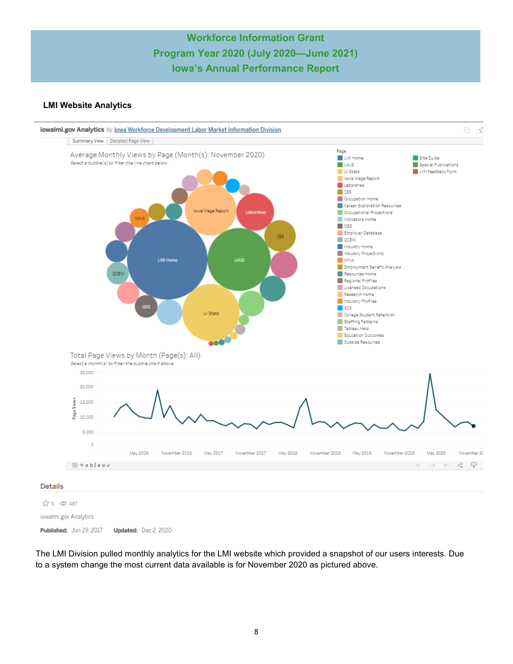#### **LMI Website Analytics**



Published: Jun 29, 2017 Updated: Dec 2, 2020

The LMI Division pulled monthly analytics for the LMI website which provided a snapshot of our users interests. Due to a system change the most current data available is for November 2020 as pictured above.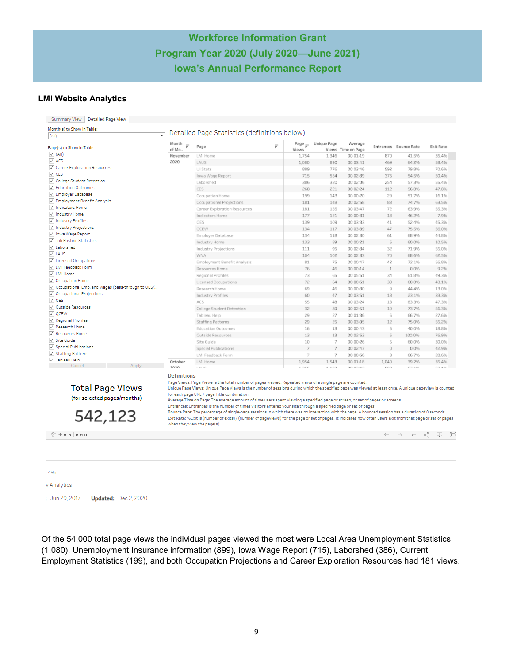#### **LMI Website Analytics**

| ₹<br>(AII)                                               |                                       | Detailed Page Statistics (definitions below)                                                                                                                                                                                                                                                                                                                                                                                                                                                                                                                         |          |                   |                                       |                                             |                              |                         |                       |
|----------------------------------------------------------|---------------------------------------|----------------------------------------------------------------------------------------------------------------------------------------------------------------------------------------------------------------------------------------------------------------------------------------------------------------------------------------------------------------------------------------------------------------------------------------------------------------------------------------------------------------------------------------------------------------------|----------|-------------------|---------------------------------------|---------------------------------------------|------------------------------|-------------------------|-----------------------|
| Page(s) to Show in Table:                                | Month<br>$\equiv$<br>of Mo.           | Page                                                                                                                                                                                                                                                                                                                                                                                                                                                                                                                                                                 | $\equiv$ | Page $=$<br>Views | Unique Page                           | Average<br>Views Time on Page               |                              | Entrances Bounce Rate   | <b>Exit Rate</b>      |
| $\sqrt{(All)}$                                           | November                              | LMI Home                                                                                                                                                                                                                                                                                                                                                                                                                                                                                                                                                             |          | 1.754             | 1.346                                 | 00:01:19                                    | 870                          | 41.5%                   | 35.4%                 |
| $\sqrt{ }$ ACS                                           | 2020                                  | LAUS                                                                                                                                                                                                                                                                                                                                                                                                                                                                                                                                                                 |          | 1,080             | 890                                   | 00:03:41                                    | 469                          | 64.2%                   | 58.4%                 |
| Career Exploration Resources                             |                                       | UI Stats                                                                                                                                                                                                                                                                                                                                                                                                                                                                                                                                                             |          | 889               | 776                                   | 00:03:46                                    | 592                          | 79.8%                   | 70.6%                 |
| $\sqrt{C}$ CES                                           |                                       | Iowa Wage Report                                                                                                                                                                                                                                                                                                                                                                                                                                                                                                                                                     |          | 715               | 554                                   | 00:02:39                                    | 375                          | 54.5%                   | 50.4%                 |
| V College Student Retention                              |                                       | Laborshed                                                                                                                                                                                                                                                                                                                                                                                                                                                                                                                                                            |          | 386               | 320                                   | 00:02:06                                    | 254                          | 57.3%                   | 55.4%                 |
| V Education Outcomes                                     |                                       | CES                                                                                                                                                                                                                                                                                                                                                                                                                                                                                                                                                                  |          | 268               | 221                                   | 00:02:24                                    | 112                          | 56.0%                   | 47.8%                 |
| Temployer Database                                       |                                       | Occupation Home                                                                                                                                                                                                                                                                                                                                                                                                                                                                                                                                                      |          | 199               | 143                                   | 00:00:20                                    | 29                           | 51.7%                   | 16.1%                 |
| The Employment Benefit Analysis                          |                                       | Occupational Projections                                                                                                                                                                                                                                                                                                                                                                                                                                                                                                                                             |          | 181               | 148                                   | 00:02:58                                    | 83                           | 74.7%                   | 63.5%                 |
| V Indicators Home                                        |                                       | Career Exploration Resources                                                                                                                                                                                                                                                                                                                                                                                                                                                                                                                                         |          | 181               | 155                                   | 00:03:47                                    | 72                           | 63.9%                   | 55.3%                 |
| V Industry Home                                          |                                       | Indicators Home                                                                                                                                                                                                                                                                                                                                                                                                                                                                                                                                                      |          | 177               | 121                                   | 00:00:31                                    | 13                           | 46.2%                   | 7.9%                  |
| V Industry Profiles                                      |                                       | OES                                                                                                                                                                                                                                                                                                                                                                                                                                                                                                                                                                  |          | 139               | 109                                   | 00:03:33                                    | 41                           | 52.4%                   | 45.3%                 |
| V Industry Projections                                   |                                       | QCEW                                                                                                                                                                                                                                                                                                                                                                                                                                                                                                                                                                 |          | 134               | 117                                   | 00:03:39                                    | 47                           | 75.5%                   | 56.0%                 |
| V lowa Wage Report                                       |                                       | Employer Database                                                                                                                                                                                                                                                                                                                                                                                                                                                                                                                                                    |          | 134               | 118                                   | 00:02:30                                    | 61                           | 68.9%                   | 44.8%                 |
| Job Posting Statistics                                   |                                       | Industry Home                                                                                                                                                                                                                                                                                                                                                                                                                                                                                                                                                        |          | 133               | 89                                    | 00:00:21                                    | $\overline{5}$               | 60.0%                   | 10.5%                 |
| V Laborshed                                              |                                       | <b>Industry Projections</b>                                                                                                                                                                                                                                                                                                                                                                                                                                                                                                                                          |          | 111               | 95                                    | 00:02:34                                    | 32                           | 71.9%                   | 55.0%                 |
| $\sqrt{ }$ LAUS                                          |                                       | <b>WNA</b>                                                                                                                                                                                                                                                                                                                                                                                                                                                                                                                                                           |          | 104               | 102                                   | 00:02:33                                    | 70                           | 68.6%                   | 62.5%                 |
| V Licensed Occupations                                   |                                       | <b>Employment Benefit Analysis</b>                                                                                                                                                                                                                                                                                                                                                                                                                                                                                                                                   |          | 81                | 75                                    | 00:00:47                                    | 42                           | 72.1%                   | 56.8%                 |
| V LMI Feedback Form                                      |                                       | Resources Home                                                                                                                                                                                                                                                                                                                                                                                                                                                                                                                                                       |          | 76                | 46                                    | 00:00:14                                    | $\mathbf{1}$                 | 0.0%                    | 9.2%                  |
| V LMI Home                                               |                                       | Regional Profiles                                                                                                                                                                                                                                                                                                                                                                                                                                                                                                                                                    |          | 73                | 65                                    | 00:05:51                                    | 34                           | 61.8%                   | 49.3%                 |
| Occupation Home                                          |                                       | Licensed Occupations                                                                                                                                                                                                                                                                                                                                                                                                                                                                                                                                                 |          | 72                | 64                                    | 00:00:51                                    | 30                           | 60.0%                   | 43.1%                 |
| Occupational Emp. and Wages (pass-through to OES/        |                                       | Research Home                                                                                                                                                                                                                                                                                                                                                                                                                                                                                                                                                        |          | 69                | 46                                    | 00:00:30                                    | 9                            | 44.4%                   |                       |
| Occupational Projections                                 |                                       |                                                                                                                                                                                                                                                                                                                                                                                                                                                                                                                                                                      |          | 60                | 47                                    |                                             |                              | 23.1%                   | 13.0%                 |
| $\sqrt{ }$ OES                                           |                                       | Industry Profiles                                                                                                                                                                                                                                                                                                                                                                                                                                                                                                                                                    |          |                   |                                       | 00:03:51                                    | 13                           |                         | 33.3%                 |
| V Outside Resources                                      |                                       | ACS                                                                                                                                                                                                                                                                                                                                                                                                                                                                                                                                                                  |          | 55                | 48                                    | 00:03:24                                    | 13                           | 83.3%                   | 47.3%                 |
| $\sqrt{ }$ OCEW                                          |                                       | College Student Retention                                                                                                                                                                                                                                                                                                                                                                                                                                                                                                                                            |          | 32                | 30                                    | 00:02:51                                    | 19                           | 73.7%                   | 56.3%                 |
| √ Regional Profiles                                      |                                       | Tableau Help                                                                                                                                                                                                                                                                                                                                                                                                                                                                                                                                                         |          | 29                | 27                                    | 00:01:36                                    | 6                            | 66.7%                   | 27.6%                 |
| √ Research Home                                          |                                       | Staffing Patterns                                                                                                                                                                                                                                                                                                                                                                                                                                                                                                                                                    |          | 29                | 25                                    | 00:03:05                                    | 12                           | 75.0%                   | 55.2%                 |
| Resources Home                                           |                                       | <b>Education Outcomes</b>                                                                                                                                                                                                                                                                                                                                                                                                                                                                                                                                            |          | 16                | 13                                    | 00:00:43                                    | $\mathsf{S}$                 | 40.0%                   | 18.8%                 |
| V Site Guide                                             |                                       | Outside Resources                                                                                                                                                                                                                                                                                                                                                                                                                                                                                                                                                    |          | 13                | 13                                    | 00:02:53                                    | $\mathcal{C}_2$              | 100.0%                  | 76.9%                 |
| <b>V</b> Special Publications                            |                                       | Site Guide                                                                                                                                                                                                                                                                                                                                                                                                                                                                                                                                                           |          | 10                | $\overline{7}$                        | 00:00:26                                    | $\mathsf{S}$                 | 60.0%                   | 30.0%                 |
|                                                          |                                       | Special Publications                                                                                                                                                                                                                                                                                                                                                                                                                                                                                                                                                 |          |                   | $\overline{7}$                        | 00:02:47                                    | $\Omega$                     | 0.0%                    | 42.9%                 |
|                                                          |                                       |                                                                                                                                                                                                                                                                                                                                                                                                                                                                                                                                                                      |          |                   |                                       |                                             |                              |                         | 28.6%                 |
|                                                          |                                       |                                                                                                                                                                                                                                                                                                                                                                                                                                                                                                                                                                      |          |                   |                                       |                                             |                              |                         | 35.4%<br><b>FRANK</b> |
| V Staffing Patterns<br>V Tableau Help<br>Cancel<br>Apply | October<br>acoc<br><b>Definitions</b> | <b>LMI Feedback Form</b><br>LMI Home<br>$1 - 30 + 140$                                                                                                                                                                                                                                                                                                                                                                                                                                                                                                               |          | 1,954<br>1.777    | $\overline{7}$<br>1,543<br>$-4 - 0.0$ | 00:00:56<br>00:01:18<br>$0.0.0001$ = $0.00$ | 3<br>1,040<br><b>ATLANTA</b> | 66.7%<br>39.2%<br>PT AB |                       |
| <b>Total Page Views</b><br>(for selected pages/months)   |                                       | Page Views: Page Views is the total number of pages viewed. Repeated views of a single page are counted.<br>Unique Page Views: Unique Page Views is the number of sessions during which the specified page was viewed at least once. A unique pageview is counted<br>for each page URL + page Title combination.<br>Average Time on Page: The average amount of time users spent viewing a specified page or screen, or set of pages or screens.<br>Entrances: Entrances is the number of times visitors entered your site through a specified page or set of pages. |          |                   |                                       |                                             |                              |                         |                       |
| 542,123                                                  |                                       | Bounce Rate: The percentage of single-page sessions in which there was no interaction with the page. A bounced session has a duration of 0 seconds.<br>Exit Rate: %Exit is (number of exits) / (number of pageviews) for the page or set of pages. It indicates how often users exit from that page or set of pages<br>when they view the page(s).                                                                                                                                                                                                                   |          |                   |                                       |                                             |                              |                         |                       |
|                                                          |                                       |                                                                                                                                                                                                                                                                                                                                                                                                                                                                                                                                                                      |          |                   |                                       |                                             |                              |                         |                       |

496 v Analytics : Jun 29, 2017 Updated: Dec 2, 2020

Of the 54,000 total page views the individual pages viewed the most were Local Area Unemployment Statistics (1,080), Unemployment Insurance information (899), Iowa Wage Report (715), Laborshed (386), Current Employment Statistics (199), and both Occupation Projections and Career Exploration Resources had 181 views.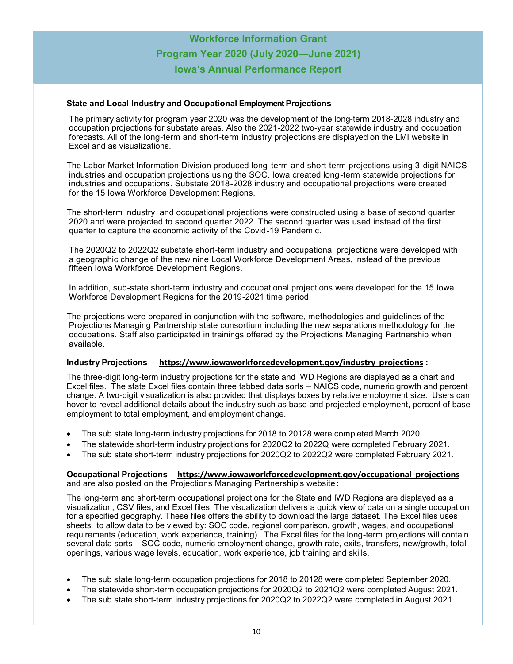#### **State and Local Industry and Occupational Employment Projections**

The primary activity for program year 2020 was the development of the long-term 2018-2028 industry and occupation projections for substate areas. Also the 2021-2022 two-year statewide industry and occupation forecasts. All of the long-term and short-term industry projections are displayed on the LMI website in Excel and as visualizations.

The Labor Market Information Division produced long-term and short-term projections using 3-digit NAICS industries and occupation projections using the SOC. Iowa created long-term statewide projections for industries and occupations. Substate 2018-2028 industry and occupational projections were created for the 15 Iowa Workforce Development Regions.

The short-term industry and occupational projections were constructed using a base of second quarter 2020 and were projected to second quarter 2022. The second quarter was used instead of the first quarter to capture the economic activity of the Covid-19 Pandemic.

The 2020Q2 to 2022Q2 substate short-term industry and occupational projections were developed with a geographic change of the new nine Local Workforce Development Areas, instead of the previous fifteen Iowa Workforce Development Regions.

In addition, sub-state short-term industry and occupational projections were developed for the 15 Iowa Workforce Development Regions for the 2019-2021 time period.

The projections were prepared in conjunction with the software, methodologies and guidelines of the Projections Managing Partnership state consortium including the new separations methodology for the occupations. Staff also participated in trainings offered by the Projections Managing Partnership when available.

#### **Industry Projections [https://www.iowaworkforcedevelopment.gov/industry](https://www.iowaworkforcedevelopment.gov/industry-projections)-projections :**

The three-digit long-term industry projections for the state and IWD Regions are displayed as a chart and Excel files. The state Excel files contain three tabbed data sorts – NAICS code, numeric growth and percent change. A two-digit visualization is also provided that displays boxes by relative employment size. Users can hover to reveal additional details about the industry such as base and projected employment, percent of base employment to total employment, and employment change.

- The sub state long-term industry projections for 2018 to 20128 were completed March 2020
- The statewide short-term industry projections for 2020Q2 to 2022Q were completed February 2021.
- The sub state short-term industry projections for 2020Q2 to 2022Q2 were completed February 2021.

#### **Occupational Projections [https://www.iowaworkforcedevelopment.gov/occupational](https://www.iowaworkforcedevelopment.gov/occupational-projections)-projections**  and are also posted on the Projections Managing Partnership's website**:**

The long-term and short-term occupational projections for the State and IWD Regions are displayed as a visualization, CSV files, and Excel files. The visualization delivers a quick view of data on a single occupation for a specified geography. These files offers the ability to download the large dataset. The Excel files uses sheets to allow data to be viewed by: SOC code, regional comparison, growth, wages, and occupational requirements (education, work experience, training). The Excel files for the long-term projections will contain several data sorts – SOC code, numeric employment change, growth rate, exits, transfers, new/growth, total openings, various wage levels, education, work experience, job training and skills.

- The sub state long-term occupation projections for 2018 to 20128 were completed September 2020.
- The statewide short-term occupation projections for 2020Q2 to 2021Q2 were completed August 2021.
- The sub state short-term industry projections for 2020Q2 to 2022Q2 were completed in August 2021.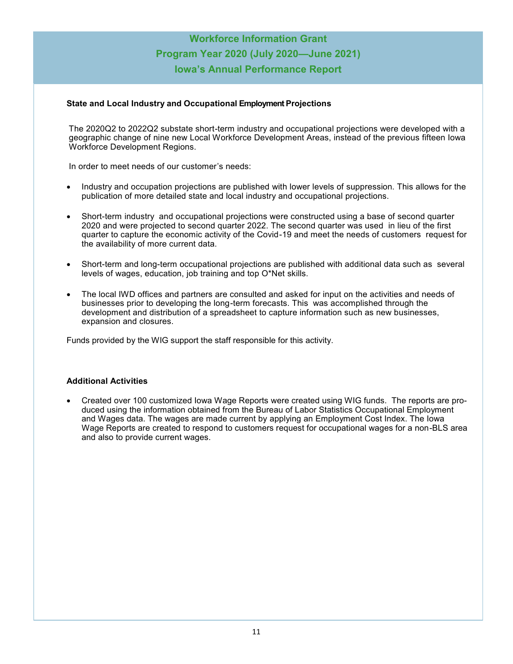#### **State and Local Industry and Occupational Employment Projections**

The 2020Q2 to 2022Q2 substate short-term industry and occupational projections were developed with a geographic change of nine new Local Workforce Development Areas, instead of the previous fifteen Iowa Workforce Development Regions.

In order to meet needs of our customer's needs:

- Industry and occupation projections are published with lower levels of suppression. This allows for the publication of more detailed state and local industry and occupational projections.
- Short-term industry and occupational projections were constructed using a base of second quarter 2020 and were projected to second quarter 2022. The second quarter was used in lieu of the first quarter to capture the economic activity of the Covid-19 and meet the needs of customers request for the availability of more current data.
- Short-term and long-term occupational projections are published with additional data such as several levels of wages, education, job training and top O\*Net skills.
- The local IWD offices and partners are consulted and asked for input on the activities and needs of businesses prior to developing the long-term forecasts. This was accomplished through the development and distribution of a spreadsheet to capture information such as new businesses, expansion and closures.

Funds provided by the WIG support the staff responsible for this activity.

#### **Additional Activities**

• Created over 100 customized Iowa Wage Reports were created using WIG funds. The reports are produced using the information obtained from the Bureau of Labor Statistics Occupational Employment and Wages data. The wages are made current by applying an Employment Cost Index. The Iowa Wage Reports are created to respond to customers request for occupational wages for a non-BLS area and also to provide current wages.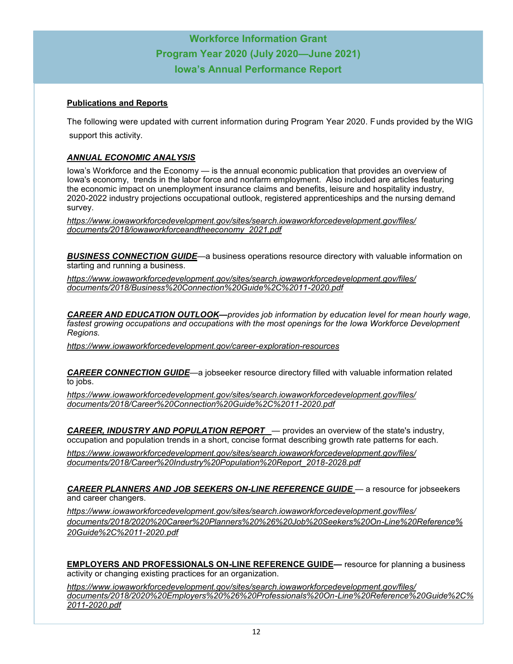#### **Publications and Reports**

The following were updated with current information during Program Year 2020. Funds provided by the WIG support this activity.

#### *ANNUAL ECONOMIC ANALYSIS*

Iowa's Workforce and the Economy — is the annual economic publication that provides an overview of Iowa's economy, trends in the labor force and nonfarm employment. Also included are articles featuring the economic impact on unemployment insurance claims and benefits, leisure and hospitality industry, 2020-2022 industry projections occupational outlook, registered apprenticeships and the nursing demand survey.

*[https://www.iowaworkforcedevelopment.gov/sites/search.iowaworkforcedevelopment.gov/files/](https://www.iowaworkforcedevelopment.gov/sites/search.iowaworkforcedevelopment.gov/files/documents/2018/iowaworkforceandtheeconomy_2021.pdf) [documents/2018/iowaworkforceandtheeconomy\\_2021.pdf](https://www.iowaworkforcedevelopment.gov/sites/search.iowaworkforcedevelopment.gov/files/documents/2018/iowaworkforceandtheeconomy_2021.pdf)*

*BUSINESS CONNECTION GUIDE*—a business operations resource directory with valuable information on starting and running a business.

*https://www.iowaworkforcedevelopment.gov/sites/search.iowaworkforcedevelopment.gov/files/ documents/2018/Business%20Connection%20Guide%2C%2011-2020.pdf*

*CAREER AND EDUCATION OUTLOOK—provides job information by education level for mean hourly wage, fastest growing occupations and occupations with the most openings for the Iowa Workforce Development Regions.*

*[https://www.iowaworkforcedevelopment.gov/career](https://www.iowaworkforcedevelopment.gov/career-exploration-resources)-exploration-resources*

*CAREER CONNECTION GUIDE*—a jobseeker resource directory filled with valuable information related to jobs.

*[https://www.iowaworkforcedevelopment.gov/sites/search.iowaworkforcedevelopment.gov/files/](https://www.iowaworkforcedevelopment.gov/sites/search.iowaworkforcedevelopment.gov/files/documents/2018/Career%20Connection%20Guide%2C%2011-2020.pdf) [documents/2018/Career%20Connection%20Guide%2C%2011](https://www.iowaworkforcedevelopment.gov/sites/search.iowaworkforcedevelopment.gov/files/documents/2018/Career%20Connection%20Guide%2C%2011-2020.pdf)-2020.pdf*

*CAREER, INDUSTRY AND POPULATION REPORT* — provides an overview of the state's industry, occupation and population trends in a short, concise format describing growth rate patterns for each.

*https://www.iowaworkforcedevelopment.gov/sites/search.iowaworkforcedevelopment.gov/files/ documents/2018/Career%20Industry%20Population%20Report\_2018-2028.pdf*

*CAREER PLANNERS AND JOB SEEKERS ON-LINE REFERENCE GUIDE* — a resource for jobseekers and career changers.

*[https://www.iowaworkforcedevelopment.gov/sites/search.iowaworkforcedevelopment.gov/files/](https://www.iowaworkforcedevelopment.gov/sites/search.iowaworkforcedevelopment.gov/files/documents/2018/2020%20Career%20Planners%20%26%20Job%20Seekers%20On-Line%20Reference%20Guide%2C%2011-2020.pdf) [documents/2018/2020%20Career%20Planners%20%26%20Job%20Seekers%20On](https://www.iowaworkforcedevelopment.gov/sites/search.iowaworkforcedevelopment.gov/files/documents/2018/2020%20Career%20Planners%20%26%20Job%20Seekers%20On-Line%20Reference%20Guide%2C%2011-2020.pdf)-Line%20Reference% [20Guide%2C%2011](https://www.iowaworkforcedevelopment.gov/sites/search.iowaworkforcedevelopment.gov/files/documents/2018/2020%20Career%20Planners%20%26%20Job%20Seekers%20On-Line%20Reference%20Guide%2C%2011-2020.pdf)-2020.pdf*

**EMPLOYERS AND PROFESSIONALS ON-LINE REFERENCE GUIDE***—* resource for planning a business activity or changing existing practices for an organization.

*https://www.iowaworkforcedevelopment.gov/sites/search.iowaworkforcedevelopment.gov/files/ documents/2018/2020%20Employers%20%26%20Professionals%20On-Line%20Reference%20Guide%2C% 2011-2020.pdf*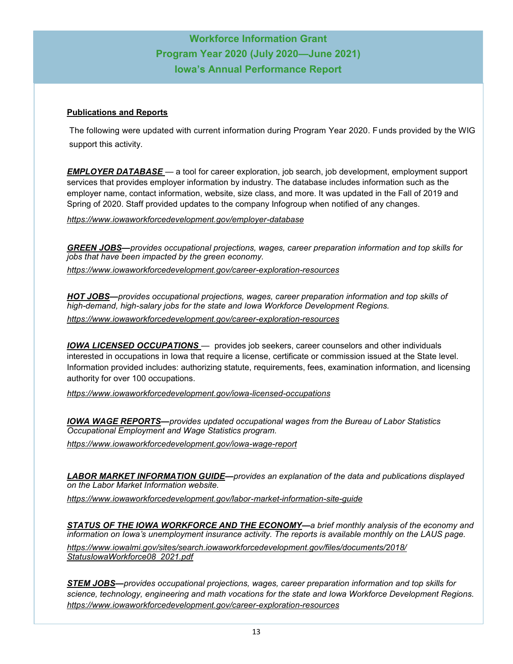#### **Publications and Reports**

The following were updated with current information during Program Year 2020. Funds provided by the WIG support this activity.

*EMPLOYER DATABASE —* a tool for career exploration, job search, job development, employment support services that provides employer information by industry. The database includes information such as the employer name, contact information, website, size class, and more. It was updated in the Fall of 2019 and Spring of 2020. Staff provided updates to the company Infogroup when notified of any changes.

*[https://www.iowaworkforcedevelopment.gov/employer](https://www.iowaworkforcedevelopment.gov/employer-database)-database*

*GREEN JOBS—provides occupational projections, wages, career preparation information and top skills for jobs that have been impacted by the green economy.*

*https://www.iowaworkforcedevelopment.gov/career-exploration-resources*

*HOT JOBS—provides occupational projections, wages, career preparation information and top skills of high-demand, high-salary jobs for the state and Iowa Workforce Development Regions. https://www.iowaworkforcedevelopment.gov/career-exploration-resources*

*IOWA LICENSED OCCUPATIONS* — provides job seekers, career counselors and other individuals interested in occupations in Iowa that require a license, certificate or commission issued at the State level. Information provided includes: authorizing statute, requirements, fees, examination information, and licensing authority for over 100 occupations.

*[https://www.iowaworkforcedevelopment.gov/iowa](https://www.iowaworkforcedevelopment.gov/iowa-licensed-occupations)-licensed-occupations*

*IOWA WAGE REPORTS—provides updated occupational wages from the Bureau of Labor Statistics Occupational Employment and Wage Statistics program.*

*[https://www.iowaworkforcedevelopment.gov/iowa](https://www.iowaworkforcedevelopment.gov/iowa-wage-report)-wage-report*

*LABOR MARKET INFORMATION GUIDE—provides an explanation of the data and publications displayed on the Labor Market Information website.*

*https://www.iowaworkforcedevelopment.gov/labor-market-information-site-guide*

*STATUS OF THE IOWA WORKFORCE AND THE ECONOMY—a brief monthly analysis of the economy and information on Iowa's unemployment insurance activity. The reports is available monthly on the LAUS page. https://www.iowalmi.gov/sites/search.iowaworkforcedevelopment.gov/files/documents/2018/ StatusIowaWorkforce08\_2021.pdf*

*STEM JOBS—provides occupational projections, wages, career preparation information and top skills for science, technology, engineering and math vocations for the state and Iowa Workforce Development Regions. https://www.iowaworkforcedevelopment.gov/career-exploration-resources*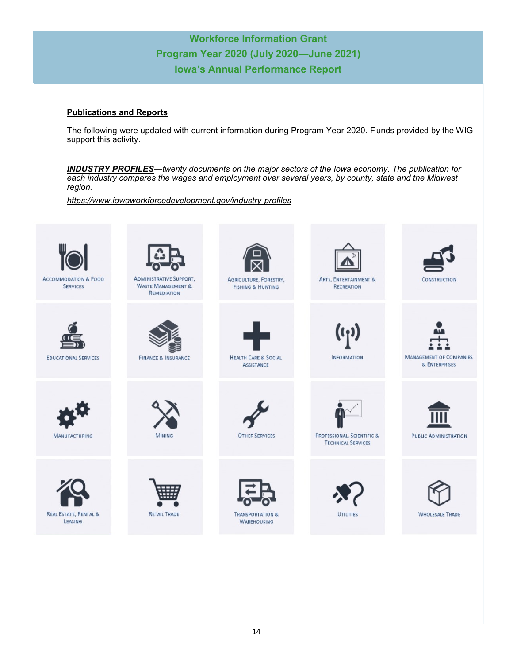#### **Publications and Reports**

The following were updated with current information during Program Year 2020. Funds provided by the WIG support this activity.

*INDUSTRY PROFILES—twenty documents on the major sectors of the Iowa economy. The publication for each industry compares the wages and employment over several years, by county, state and the Midwest region.*

*[https://www.iowaworkforcedevelopment.gov/industry](https://www.iowaworkforcedevelopment.gov/industry-profiles)-profiles*

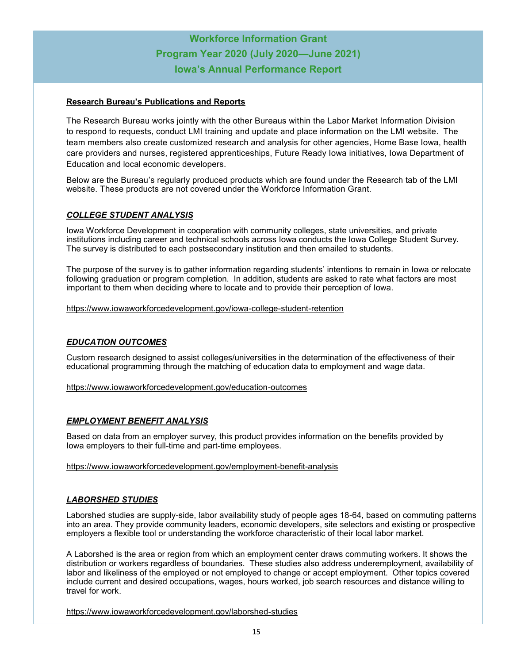#### **Research Bureau's Publications and Reports**

The Research Bureau works jointly with the other Bureaus within the Labor Market Information Division to respond to requests, conduct LMI training and update and place information on the LMI website. The team members also create customized research and analysis for other agencies, Home Base Iowa, health care providers and nurses, registered apprenticeships, Future Ready Iowa initiatives, Iowa Department of Education and local economic developers.

Below are the Bureau's regularly produced products which are found under the Research tab of the LMI website. These products are not covered under the Workforce Information Grant.

#### *COLLEGE STUDENT ANALYSIS*

Iowa Workforce Development in cooperation with community colleges, state universities, and private institutions including career and technical schools across Iowa conducts the Iowa College Student Survey. The survey is distributed to each postsecondary institution and then emailed to students.

The purpose of the survey is to gather information regarding students' intentions to remain in Iowa or relocate following graduation or program completion. In addition, students are asked to rate what factors are most important to them when deciding where to locate and to provide their perception of Iowa.

[https://www.iowaworkforcedevelopment.gov/iowa](https://www.iowaworkforcedevelopment.gov/iowa-college-student-retention)-college-student-retention

#### *EDUCATION OUTCOMES*

Custom research designed to assist colleges/universities in the determination of the effectiveness of their educational programming through the matching of education data to employment and wage data.

[https://www.iowaworkforcedevelopment.gov/education](https://www.iowaworkforcedevelopment.gov/education-outcomes)-outcomes

#### *EMPLOYMENT BENEFIT ANALYSIS*

Based on data from an employer survey, this product provides information on the benefits provided by Iowa employers to their full-time and part-time employees.

#### [https://www.iowaworkforcedevelopment.gov/employment](https://www.iowaworkforcedevelopment.gov/employment-benefit-analysis)-benefit-analysis

#### *LABORSHED STUDIES*

Laborshed studies are supply-side, labor availability study of people ages 18-64, based on commuting patterns into an area. They provide community leaders, economic developers, site selectors and existing or prospective employers a flexible tool or understanding the workforce characteristic of their local labor market.

A Laborshed is the area or region from which an employment center draws commuting workers. It shows the distribution or workers regardless of boundaries. These studies also address underemployment, availability of labor and likeliness of the employed or not employed to change or accept employment. Other topics covered include current and desired occupations, wages, hours worked, job search resources and distance willing to travel for work.

[https://www.iowaworkforcedevelopment.gov/laborshed](https://www.iowaworkforcedevelopment.gov/laborshed-studies)-studies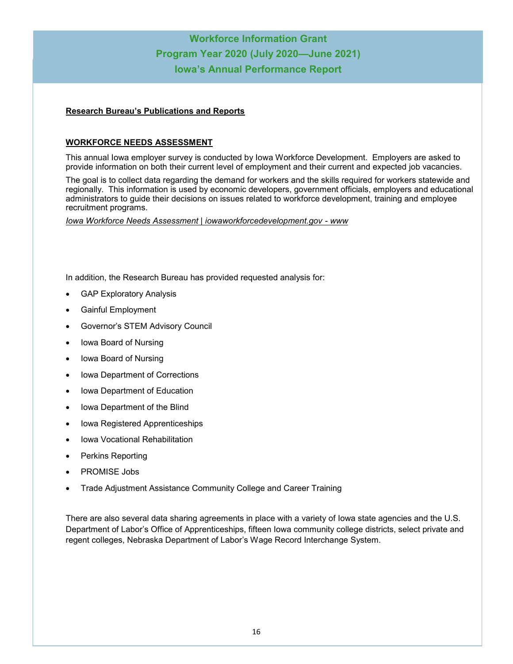#### **Research Bureau's Publications and Reports**

#### **WORKFORCE NEEDS ASSESSMENT**

This annual Iowa employer survey is conducted by Iowa Workforce Development. Employers are asked to provide information on both their current level of employment and their current and expected job vacancies.

The goal is to collect data regarding the demand for workers and the skills required for workers statewide and regionally. This information is used by economic developers, government officials, employers and educational administrators to guide their decisions on issues related to workforce development, training and employee recruitment programs.

*[Iowa Workforce Needs Assessment | iowaworkforcedevelopment.gov](https://www.iowaworkforcedevelopment.gov/wna) - www*

In addition, the Research Bureau has provided requested analysis for:

- **GAP Exploratory Analysis**
- Gainful Employment
- Governor's STEM Advisory Council
- Iowa Board of Nursing
- Iowa Board of Nursing
- Iowa Department of Corrections
- Iowa Department of Education
- Iowa Department of the Blind
- Iowa Registered Apprenticeships
- Iowa Vocational Rehabilitation
- Perkins Reporting
- PROMISE Jobs
- Trade Adjustment Assistance Community College and Career Training

There are also several data sharing agreements in place with a variety of Iowa state agencies and the U.S. Department of Labor's Office of Apprenticeships, fifteen Iowa community college districts, select private and regent colleges, Nebraska Department of Labor's Wage Record Interchange System.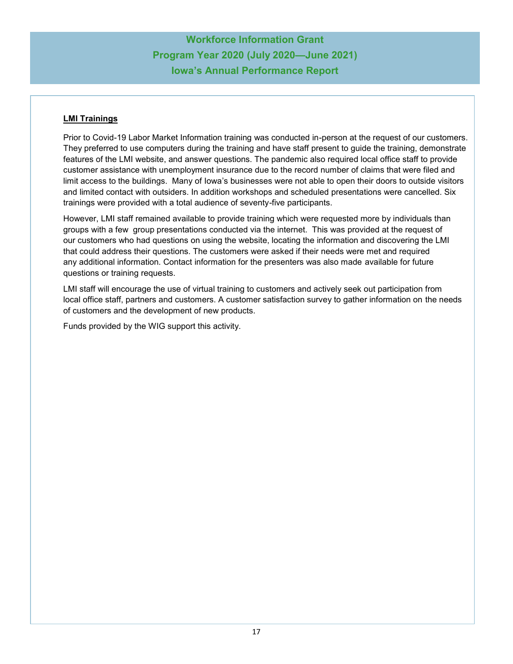### **LMI Trainings**

Prior to Covid-19 Labor Market Information training was conducted in-person at the request of our customers. They preferred to use computers during the training and have staff present to guide the training, demonstrate features of the LMI website, and answer questions. The pandemic also required local office staff to provide customer assistance with unemployment insurance due to the record number of claims that were filed and limit access to the buildings. Many of Iowa's businesses were not able to open their doors to outside visitors and limited contact with outsiders. In addition workshops and scheduled presentations were cancelled. Six trainings were provided with a total audience of seventy-five participants.

However, LMI staff remained available to provide training which were requested more by individuals than groups with a few group presentations conducted via the internet. This was provided at the request of our customers who had questions on using the website, locating the information and discovering the LMI that could address their questions. The customers were asked if their needs were met and required any additional information. Contact information for the presenters was also made available for future questions or training requests.

LMI staff will encourage the use of virtual training to customers and actively seek out participation from local office staff, partners and customers. A customer satisfaction survey to gather information on the needs of customers and the development of new products.

Funds provided by the WIG support this activity.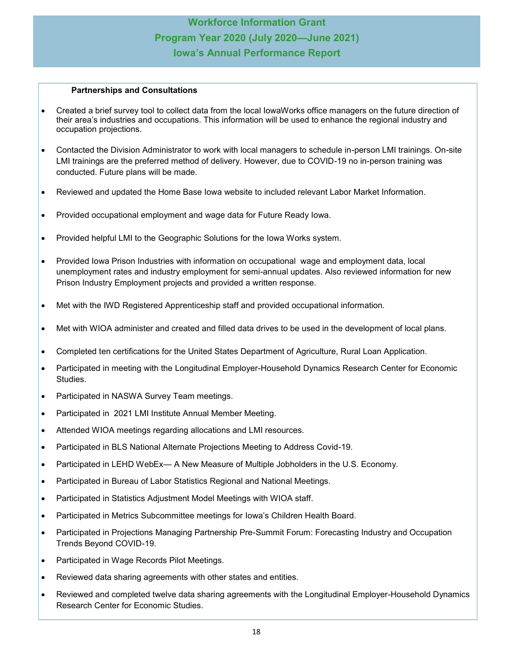#### **Partnerships and Consultations**

- Created a brief survey tool to collect data from the local IowaWorks office managers on the future direction of their area's industries and occupations. This information will be used to enhance the regional industry and occupation projections.
- Contacted the Division Administrator to work with local managers to schedule in-person LMI trainings. On-site LMI trainings are the preferred method of delivery. However, due to COVID-19 no in-person training was conducted. Future plans will be made.
- Reviewed and updated the Home Base Iowa website to included relevant Labor Market Information.
- Provided occupational employment and wage data for Future Ready Iowa.
- Provided helpful LMI to the Geographic Solutions for the Iowa Works system.
- Provided Iowa Prison Industries with information on occupational wage and employment data, local unemployment rates and industry employment for semi-annual updates. Also reviewed information for new Prison Industry Employment projects and provided a written response.
- Met with the IWD Registered Apprenticeship staff and provided occupational information.
- Met with WIOA administer and created and filled data drives to be used in the development of local plans.
- Completed ten certifications for the United States Department of Agriculture, Rural Loan Application.
- Participated in meeting with the Longitudinal Employer-Household Dynamics Research Center for Economic Studies.
- Participated in NASWA Survey Team meetings.
- Participated in 2021 LMI Institute Annual Member Meeting.
- Attended WIOA meetings regarding allocations and LMI resources.
- Participated in BLS National Alternate Projections Meeting to Address Covid-19.
- Participated in LEHD WebEx— A New Measure of Multiple Jobholders in the U.S. Economy.
- Participated in Bureau of Labor Statistics Regional and National Meetings.
- Participated in Statistics Adjustment Model Meetings with WIOA staff.
- Participated in Metrics Subcommittee meetings for Iowa's Children Health Board.
- Participated in Projections Managing Partnership Pre-Summit Forum: Forecasting Industry and Occupation Trends Beyond COVID-19.
- Participated in Wage Records Pilot Meetings.
- Reviewed data sharing agreements with other states and entities.
- Reviewed and completed twelve data sharing agreements with the Longitudinal Employer-Household Dynamics Research Center for Economic Studies.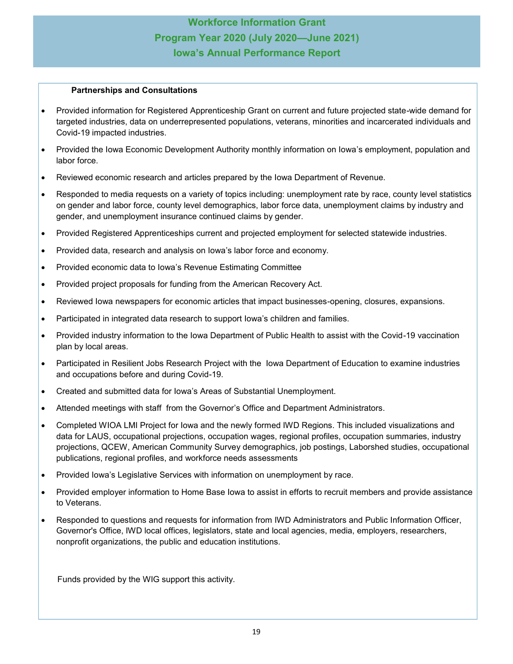#### **Partnerships and Consultations**

- Provided information for Registered Apprenticeship Grant on current and future projected state-wide demand for targeted industries, data on underrepresented populations, veterans, minorities and incarcerated individuals and Covid-19 impacted industries.
- Provided the Iowa Economic Development Authority monthly information on Iowa's employment, population and labor force.
- Reviewed economic research and articles prepared by the Iowa Department of Revenue.
- Responded to media requests on a variety of topics including: unemployment rate by race, county level statistics on gender and labor force, county level demographics, labor force data, unemployment claims by industry and gender, and unemployment insurance continued claims by gender.
- Provided Registered Apprenticeships current and projected employment for selected statewide industries.
- Provided data, research and analysis on Iowa's labor force and economy.
- Provided economic data to Iowa's Revenue Estimating Committee
- Provided project proposals for funding from the American Recovery Act.
- Reviewed Iowa newspapers for economic articles that impact businesses-opening, closures, expansions.
- Participated in integrated data research to support lowa's children and families.
- Provided industry information to the Iowa Department of Public Health to assist with the Covid-19 vaccination plan by local areas.
- Participated in Resilient Jobs Research Project with the Iowa Department of Education to examine industries and occupations before and during Covid-19.
- Created and submitted data for Iowa's Areas of Substantial Unemployment.
- Attended meetings with staff from the Governor's Office and Department Administrators.
- Completed WIOA LMI Project for Iowa and the newly formed IWD Regions. This included visualizations and data for LAUS, occupational projections, occupation wages, regional profiles, occupation summaries, industry projections, QCEW, American Community Survey demographics, job postings, Laborshed studies, occupational publications, regional profiles, and workforce needs assessments
- Provided Iowa's Legislative Services with information on unemployment by race.
- Provided employer information to Home Base Iowa to assist in efforts to recruit members and provide assistance to Veterans.
- Responded to questions and requests for information from IWD Administrators and Public Information Officer, Governor's Office, IWD local offices, legislators, state and local agencies, media, employers, researchers, nonprofit organizations, the public and education institutions.

Funds provided by the WIG support this activity.